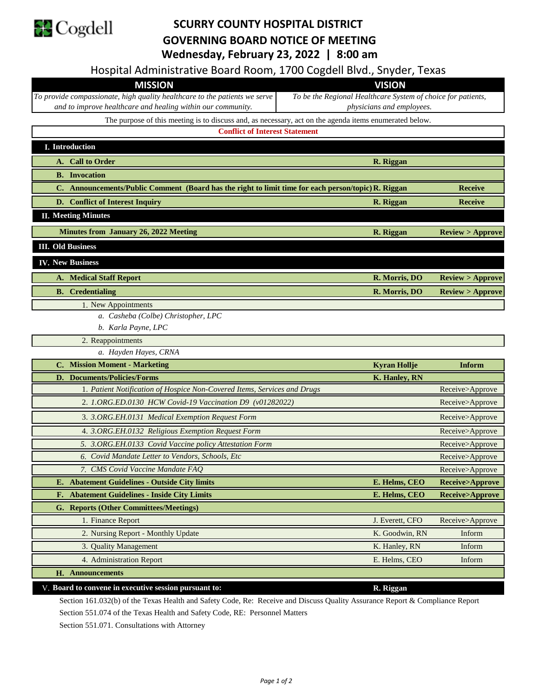

## **SCURRY COUNTY HOSPITAL DISTRICT GOVERNING BOARD NOTICE OF MEETING Wednesday, February 23, 2022 | 8:00 am**

Hospital Administrative Board Room, 1700 Cogdell Blvd., Snyder, Texas

| Hospital Administrative Board Room, 1700 Cogdell Bivd., Shyder, Texas                                  |                                                              |                            |
|--------------------------------------------------------------------------------------------------------|--------------------------------------------------------------|----------------------------|
| <b>MISSION</b>                                                                                         | <b>VISION</b>                                                |                            |
| To provide compassionate, high quality healthcare to the patients we serve                             | To be the Regional Healthcare System of choice for patients, |                            |
| and to improve healthcare and healing within our community.                                            | physicians and employees.                                    |                            |
| The purpose of this meeting is to discuss and, as necessary, act on the agenda items enumerated below. |                                                              |                            |
| <b>Conflict of Interest Statement</b>                                                                  |                                                              |                            |
| I. Introduction                                                                                        |                                                              |                            |
| A. Call to Order                                                                                       | R. Riggan                                                    |                            |
| <b>B.</b> Invocation                                                                                   |                                                              |                            |
| C. Announcements/Public Comment (Board has the right to limit time for each person/topic) R. Riggan    |                                                              | <b>Receive</b>             |
| D. Conflict of Interest Inquiry                                                                        | R. Riggan                                                    | <b>Receive</b>             |
| <b>II. Meeting Minutes</b>                                                                             |                                                              |                            |
| <b>Minutes from January 26, 2022 Meeting</b>                                                           | R. Riggan                                                    | <b>Review &gt; Approve</b> |
| <b>III.</b> Old Business                                                                               |                                                              |                            |
| <b>IV. New Business</b>                                                                                |                                                              |                            |
| <b>A. Medical Staff Report</b>                                                                         | R. Morris, DO                                                | Review > Approve           |
| <b>B.</b> Credentialing                                                                                | R. Morris, DO                                                | Review > Approve           |
| 1. New Appointments                                                                                    |                                                              |                            |
| a. Casheba (Colbe) Christopher, LPC                                                                    |                                                              |                            |
| b. Karla Payne, LPC                                                                                    |                                                              |                            |
| 2. Reappointments                                                                                      |                                                              |                            |
| a. Hayden Hayes, CRNA                                                                                  |                                                              |                            |
| C. Mission Moment - Marketing                                                                          | <b>Kyran Hollje</b>                                          | Inform                     |
| D. Documents/Policies/Forms                                                                            | K. Hanley, RN                                                |                            |
| 1. Patient Notification of Hospice Non-Covered Items, Services and Drugs                               |                                                              | Receive>Approve            |
| 2. 1.ORG.ED.0130 HCW Covid-19 Vaccination D9 (v01282022)                                               |                                                              | Receive>Approve            |
| 3. 3. ORG. EH.0131 Medical Exemption Request Form                                                      |                                                              | Receive>Approve            |
| 4. 3.ORG.EH.0132 Religious Exemption Request Form                                                      |                                                              | Receive>Approve            |
| 5. 3.ORG.EH.0133 Covid Vaccine policy Attestation Form                                                 |                                                              | Receive>Approve            |
| 6. Covid Mandate Letter to Vendors, Schools, Etc                                                       |                                                              | Receive>Approve            |
| 7. CMS Covid Vaccine Mandate FAQ                                                                       |                                                              | Receive>Approve            |
| E. Abatement Guidelines - Outside City limits                                                          | E. Helms, CEO                                                | Receive>Approve            |
| F. Abatement Guidelines - Inside City Limits                                                           | E. Helms, CEO                                                | <b>Receive&gt;Approve</b>  |
| G. Reports (Other Committees/Meetings)                                                                 |                                                              |                            |
| 1. Finance Report                                                                                      | J. Everett, CFO                                              | Receive>Approve            |
|                                                                                                        |                                                              |                            |
| 2. Nursing Report - Monthly Update                                                                     | K. Goodwin, RN                                               | Inform                     |
| 3. Quality Management                                                                                  | K. Hanley, RN                                                | Inform                     |
| 4. Administration Report                                                                               | E. Helms, CEO                                                | Inform                     |
| <b>H.</b> Announcements                                                                                |                                                              |                            |

Section 161.032(b) of the Texas Health and Safety Code, Re: Receive and Discuss Quality Assurance Report & Compliance Report Section 551.074 of the Texas Health and Safety Code, RE: Personnel Matters

Section 551.071. Consultations with Attorney